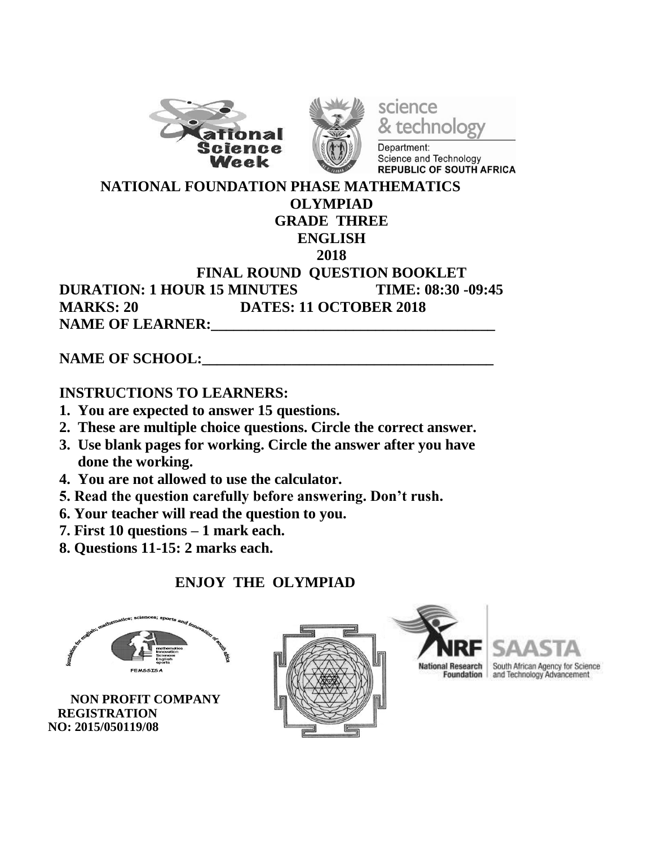



science & technology Department:

Science and Technology REPUBLIC OF SOUTH AFRICA

#### **NATIONAL FOUNDATION PHASE MATHEMATICS OLYMPIAD**

# **GRADE THREE**

#### **ENGLISH**

#### **2018**

### **FINAL ROUND QUESTION BOOKLET DURATION: 1 HOUR 15 MINUTES TIME: 08:30 -09:45 MARKS: 20 DATES: 11 OCTOBER 2018 NAME OF LEARNER:**

# **NAME OF SCHOOL:**

# **INSTRUCTIONS TO LEARNERS:**

- **1. You are expected to answer 15 questions.**
- **2. These are multiple choice questions. Circle the correct answer.**
- **3. Use blank pages for working. Circle the answer after you have done the working.**
- **4. You are not allowed to use the calculator.**
- **5. Read the question carefully before answering. Don't rush.**
- **6. Your teacher will read the question to you.**
- **7. First 10 questions – 1 mark each.**
- **8. Questions 11-15: 2 marks each.**

# **ENJOY THE OLYMPIAD**



 **NON PROFIT COMPANY REGISTRATION NO: 2015/050119/08**





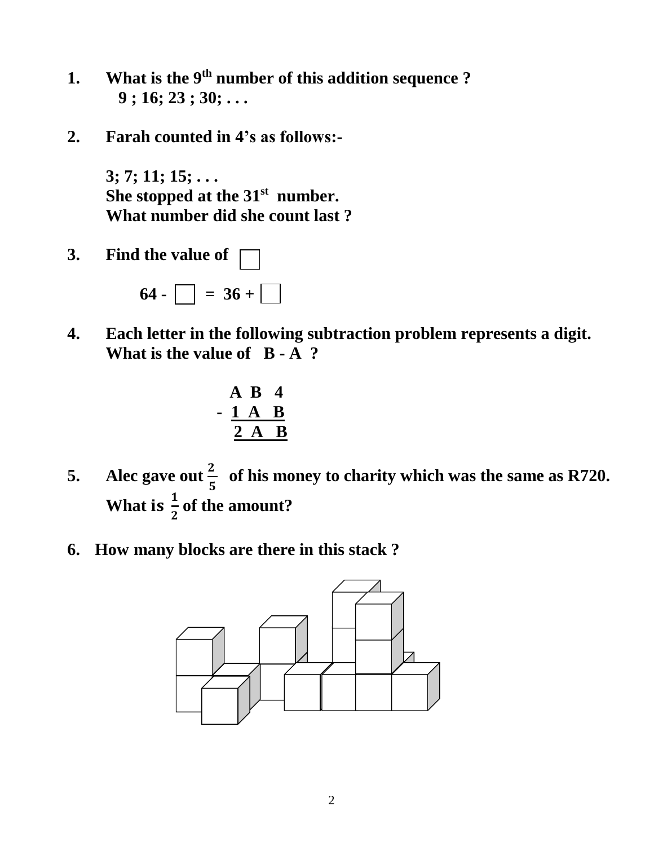- **1. What is the 9 th number of this addition sequence ? 9 ; 16; 23 ; 30; . . .**
- **2. Farah counted in 4's as follows:-**

**3; 7; 11; 15; . . . She stopped at the 31st number. What number did she count last ?**

**3. Find the value of** 

 $64 - 36 +$ 

**4. Each letter in the following subtraction problem represents a digit. What is the value of B - A ?**

$$
\begin{array}{cccc}\n & A & B & 4 \\
- & 1 & A & B \\
\hline\n2 & A & B\n\end{array}
$$

- **5. Alec** gave out  $\frac{2}{5}$  of his money to charity which was the same as R720. What is  $\frac{1}{2}$  of the amount?
- **6. How many blocks are there in this stack ?**

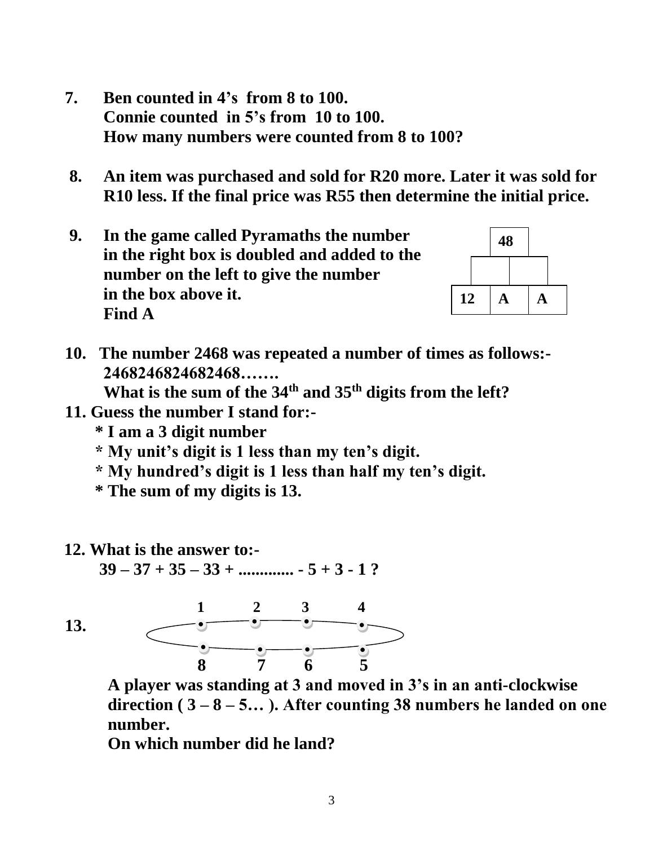- **7. Ben counted in 4's from 8 to 100. Connie counted in 5's from 10 to 100. How many numbers were counted from 8 to 100?**
- **8. An item was purchased and sold for R20 more. Later it was sold for R10 less. If the final price was R55 then determine the initial price.**
- **9. In the game called Pyramaths the number in the right box is doubled and added to the number on the left to give the number in the box above it. Find A**



 **10. The number 2468 was repeated a number of times as follows:- 2468246824682468…….**

 **What is the sum of the 34th and 35th digits from the left?**

- **11. Guess the number I stand for:-**
	- **\* I am a 3 digit number**
	- **\* My unit's digit is 1 less than my ten's digit.**
	- **\* My hundred's digit is 1 less than half my ten's digit.**
	- **\* The sum of my digits is 13.**
- **12. What is the answer to:-**

**39 – 37 + 35 – 33 + ............. - 5 + 3 - 1 ?** 

 **13.** 



 **A player was standing at 3 and moved in 3's in an anti-clockwise direction ( 3 – 8 – 5… ). After counting 38 numbers he landed on one number.**

 **On which number did he land?**